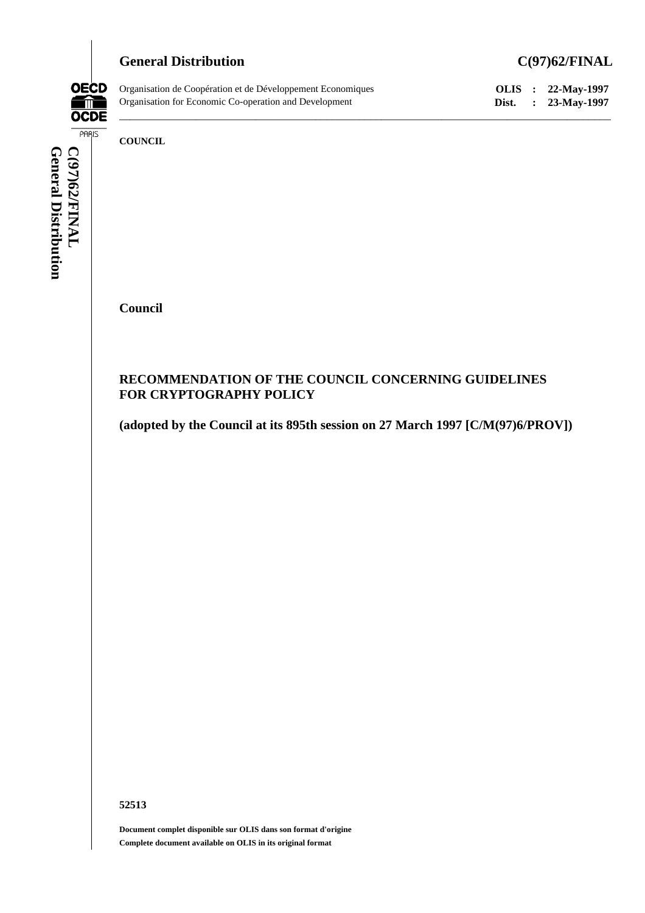# General Distribution C(97)62/FINAL



Organisation de Coopération et de Développement Economiques **OLIS : 22-May-1997**<br>
Organisation for Economic Co-operation and Development **Dist. : 23-May-1997** Organisation for Economic Co-operation and Development **Dist.** :

**COUNCIL**

**Council**

# **RECOMMENDATION OF THE COUNCIL CONCERNING GUIDELINES FOR CRYPTOGRAPHY POLICY**

**(adopted by the Council at its 895th session on 27 March 1997 [C/M(97)6/PROV])**

\_\_\_\_\_\_\_\_\_\_\_\_\_\_\_\_\_\_\_\_\_\_\_\_\_\_\_\_\_\_\_\_\_\_\_\_\_\_\_\_\_\_\_\_\_\_\_\_\_\_\_\_\_\_\_\_\_\_\_\_\_\_\_\_\_\_\_\_\_\_\_\_\_\_\_\_\_\_\_\_\_\_\_\_\_\_\_\_\_\_

**52513**

**Document complet disponible sur OLIS dans son format d'origine Complete document available on OLIS in its original format**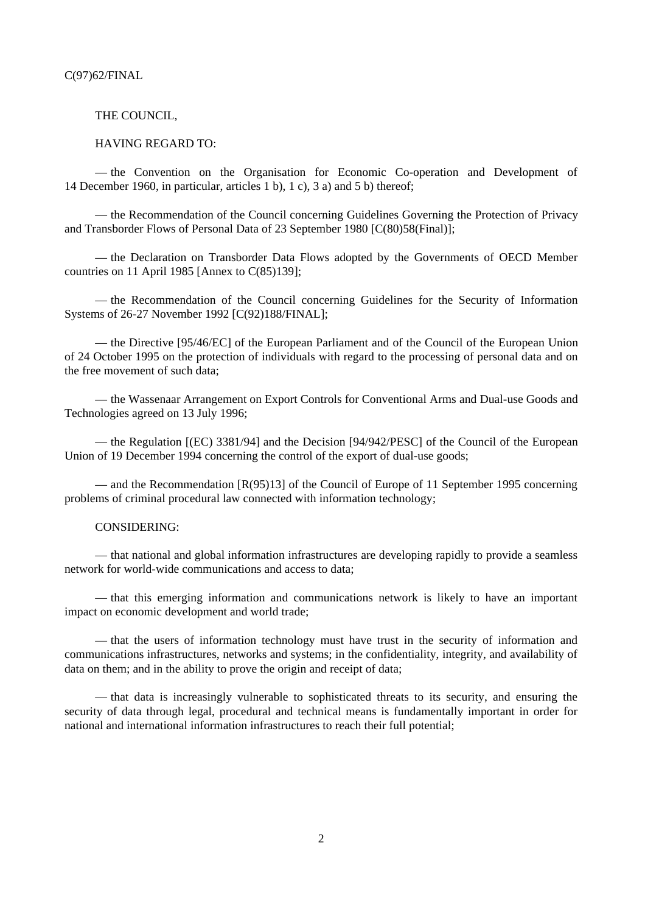#### THE COUNCIL,

#### HAVING REGARD TO:

— the Convention on the Organisation for Economic Co-operation and Development of 14 December 1960, in particular, articles 1 b), 1 c), 3 a) and 5 b) thereof;

— the Recommendation of the Council concerning Guidelines Governing the Protection of Privacy and Transborder Flows of Personal Data of 23 September 1980 [C(80)58(Final)];

— the Declaration on Transborder Data Flows adopted by the Governments of OECD Member countries on 11 April 1985 [Annex to C(85)139];

— the Recommendation of the Council concerning Guidelines for the Security of Information Systems of 26-27 November 1992 [C(92)188/FINAL];

— the Directive [95/46/EC] of the European Parliament and of the Council of the European Union of 24 October 1995 on the protection of individuals with regard to the processing of personal data and on the free movement of such data;

— the Wassenaar Arrangement on Export Controls for Conventional Arms and Dual-use Goods and Technologies agreed on 13 July 1996;

— the Regulation [(EC) 3381/94] and the Decision [94/942/PESC] of the Council of the European Union of 19 December 1994 concerning the control of the export of dual-use goods;

— and the Recommendation [R(95)13] of the Council of Europe of 11 September 1995 concerning problems of criminal procedural law connected with information technology;

#### CONSIDERING:

— that national and global information infrastructures are developing rapidly to provide a seamless network for world-wide communications and access to data;

— that this emerging information and communications network is likely to have an important impact on economic development and world trade;

— that the users of information technology must have trust in the security of information and communications infrastructures, networks and systems; in the confidentiality, integrity, and availability of data on them; and in the ability to prove the origin and receipt of data;

— that data is increasingly vulnerable to sophisticated threats to its security, and ensuring the security of data through legal, procedural and technical means is fundamentally important in order for national and international information infrastructures to reach their full potential;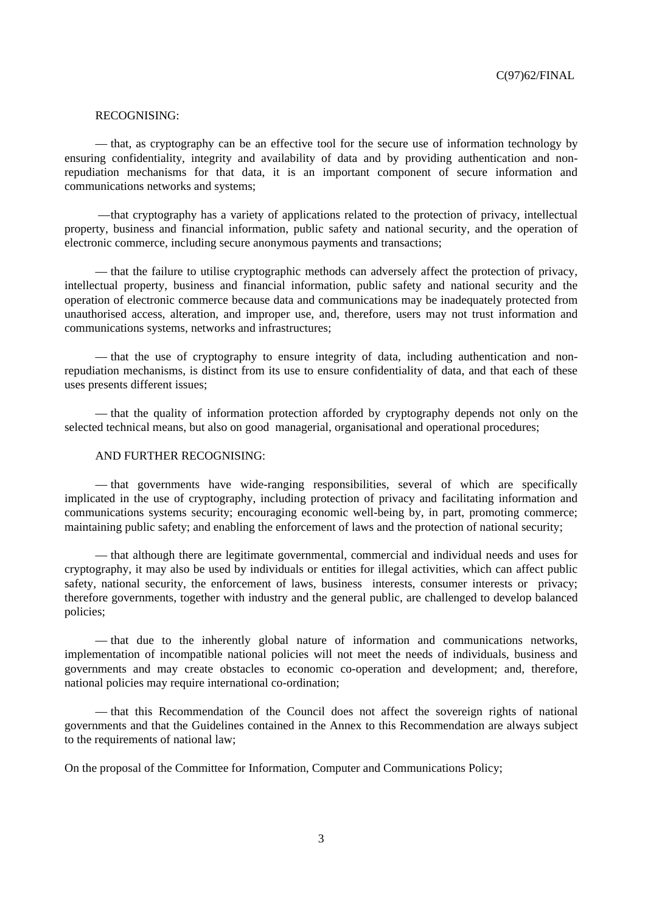#### RECOGNISING:

— that, as cryptography can be an effective tool for the secure use of information technology by ensuring confidentiality, integrity and availability of data and by providing authentication and nonrepudiation mechanisms for that data, it is an important component of secure information and communications networks and systems;

 —that cryptography has a variety of applications related to the protection of privacy, intellectual property, business and financial information, public safety and national security, and the operation of electronic commerce, including secure anonymous payments and transactions;

— that the failure to utilise cryptographic methods can adversely affect the protection of privacy, intellectual property, business and financial information, public safety and national security and the operation of electronic commerce because data and communications may be inadequately protected from unauthorised access, alteration, and improper use, and, therefore, users may not trust information and communications systems, networks and infrastructures;

— that the use of cryptography to ensure integrity of data, including authentication and nonrepudiation mechanisms, is distinct from its use to ensure confidentiality of data, and that each of these uses presents different issues;

— that the quality of information protection afforded by cryptography depends not only on the selected technical means, but also on good managerial, organisational and operational procedures;

#### AND FURTHER RECOGNISING:

— that governments have wide-ranging responsibilities, several of which are specifically implicated in the use of cryptography, including protection of privacy and facilitating information and communications systems security; encouraging economic well-being by, in part, promoting commerce; maintaining public safety; and enabling the enforcement of laws and the protection of national security;

— that although there are legitimate governmental, commercial and individual needs and uses for cryptography, it may also be used by individuals or entities for illegal activities, which can affect public safety, national security, the enforcement of laws, business interests, consumer interests or privacy; therefore governments, together with industry and the general public, are challenged to develop balanced policies;

— that due to the inherently global nature of information and communications networks, implementation of incompatible national policies will not meet the needs of individuals, business and governments and may create obstacles to economic co-operation and development; and, therefore, national policies may require international co-ordination;

— that this Recommendation of the Council does not affect the sovereign rights of national governments and that the Guidelines contained in the Annex to this Recommendation are always subject to the requirements of national law;

On the proposal of the Committee for Information, Computer and Communications Policy;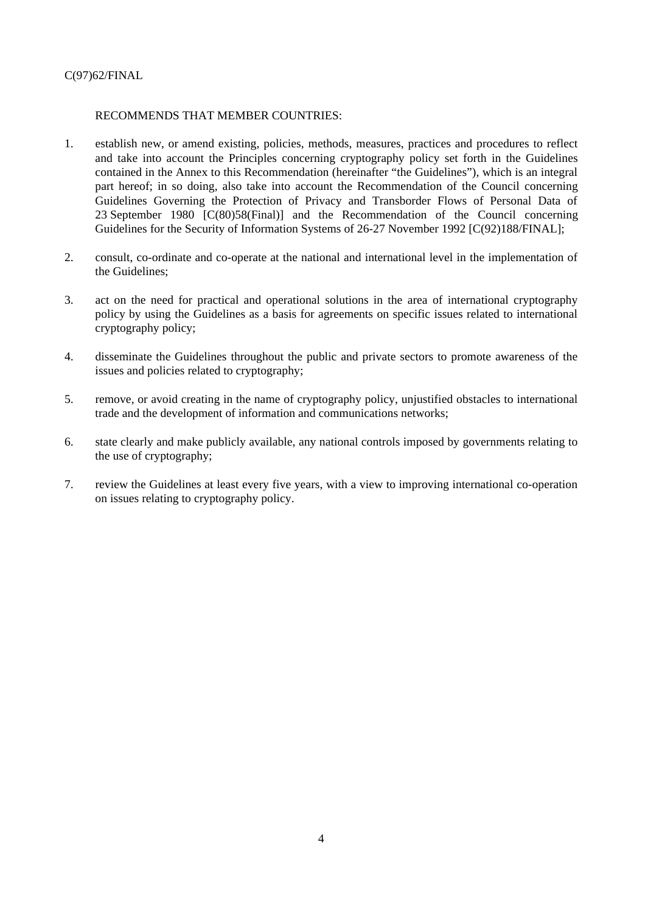## RECOMMENDS THAT MEMBER COUNTRIES:

- 1. establish new, or amend existing, policies, methods, measures, practices and procedures to reflect and take into account the Principles concerning cryptography policy set forth in the Guidelines contained in the Annex to this Recommendation (hereinafter "the Guidelines"), which is an integral part hereof; in so doing, also take into account the Recommendation of the Council concerning Guidelines Governing the Protection of Privacy and Transborder Flows of Personal Data of 23 September 1980 [C(80)58(Final)] and the Recommendation of the Council concerning Guidelines for the Security of Information Systems of 26-27 November 1992 [C(92)188/FINAL];
- 2. consult, co-ordinate and co-operate at the national and international level in the implementation of the Guidelines;
- 3. act on the need for practical and operational solutions in the area of international cryptography policy by using the Guidelines as a basis for agreements on specific issues related to international cryptography policy;
- 4. disseminate the Guidelines throughout the public and private sectors to promote awareness of the issues and policies related to cryptography;
- 5. remove, or avoid creating in the name of cryptography policy, unjustified obstacles to international trade and the development of information and communications networks;
- 6. state clearly and make publicly available, any national controls imposed by governments relating to the use of cryptography;
- 7. review the Guidelines at least every five years, with a view to improving international co-operation on issues relating to cryptography policy.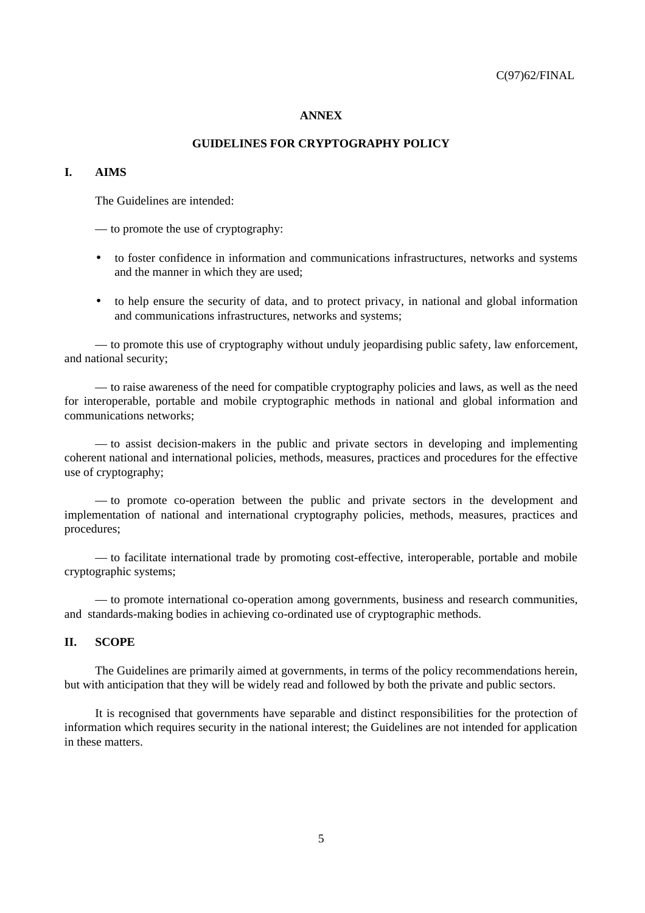#### **ANNEX**

#### **GUIDELINES FOR CRYPTOGRAPHY POLICY**

## **I. AIMS**

The Guidelines are intended:

— to promote the use of cryptography:

- to foster confidence in information and communications infrastructures, networks and systems and the manner in which they are used;
- to help ensure the security of data, and to protect privacy, in national and global information and communications infrastructures, networks and systems;

— to promote this use of cryptography without unduly jeopardising public safety, law enforcement, and national security;

— to raise awareness of the need for compatible cryptography policies and laws, as well as the need for interoperable, portable and mobile cryptographic methods in national and global information and communications networks;

— to assist decision-makers in the public and private sectors in developing and implementing coherent national and international policies, methods, measures, practices and procedures for the effective use of cryptography;

— to promote co-operation between the public and private sectors in the development and implementation of national and international cryptography policies, methods, measures, practices and procedures;

— to facilitate international trade by promoting cost-effective, interoperable, portable and mobile cryptographic systems;

— to promote international co-operation among governments, business and research communities, and standards-making bodies in achieving co-ordinated use of cryptographic methods.

#### **II. SCOPE**

The Guidelines are primarily aimed at governments, in terms of the policy recommendations herein, but with anticipation that they will be widely read and followed by both the private and public sectors.

It is recognised that governments have separable and distinct responsibilities for the protection of information which requires security in the national interest; the Guidelines are not intended for application in these matters.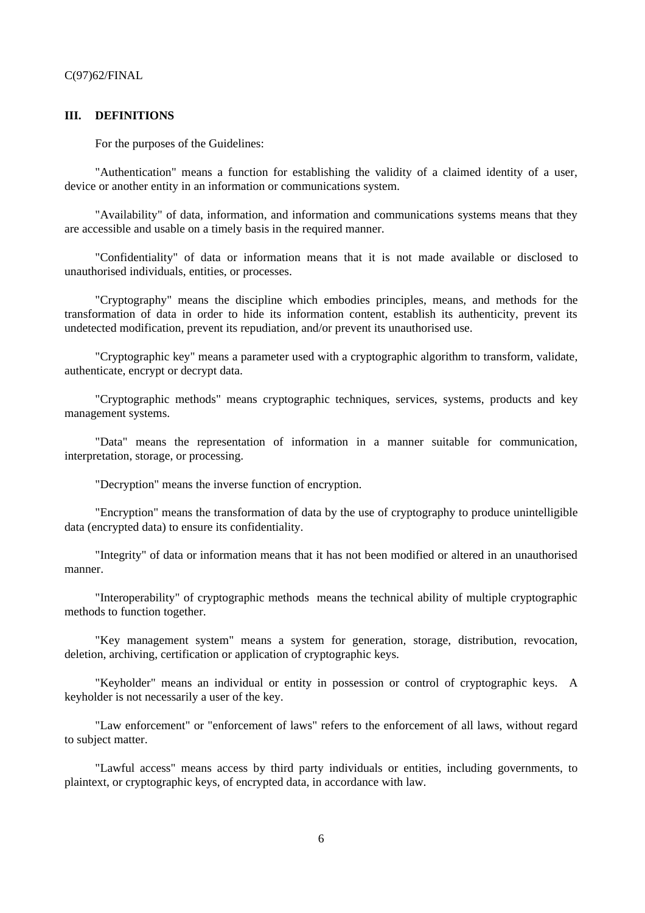#### **III. DEFINITIONS**

For the purposes of the Guidelines:

"Authentication" means a function for establishing the validity of a claimed identity of a user, device or another entity in an information or communications system.

"Availability" of data, information, and information and communications systems means that they are accessible and usable on a timely basis in the required manner.

"Confidentiality" of data or information means that it is not made available or disclosed to unauthorised individuals, entities, or processes.

"Cryptography" means the discipline which embodies principles, means, and methods for the transformation of data in order to hide its information content, establish its authenticity, prevent its undetected modification, prevent its repudiation, and/or prevent its unauthorised use.

"Cryptographic key" means a parameter used with a cryptographic algorithm to transform, validate, authenticate, encrypt or decrypt data.

"Cryptographic methods" means cryptographic techniques, services, systems, products and key management systems.

"Data" means the representation of information in a manner suitable for communication, interpretation, storage, or processing.

"Decryption" means the inverse function of encryption.

"Encryption" means the transformation of data by the use of cryptography to produce unintelligible data (encrypted data) to ensure its confidentiality.

"Integrity" of data or information means that it has not been modified or altered in an unauthorised manner.

"Interoperability" of cryptographic methods means the technical ability of multiple cryptographic methods to function together.

"Key management system" means a system for generation, storage, distribution, revocation, deletion, archiving, certification or application of cryptographic keys.

"Keyholder" means an individual or entity in possession or control of cryptographic keys. A keyholder is not necessarily a user of the key.

"Law enforcement" or "enforcement of laws" refers to the enforcement of all laws, without regard to subject matter.

"Lawful access" means access by third party individuals or entities, including governments, to plaintext, or cryptographic keys, of encrypted data, in accordance with law.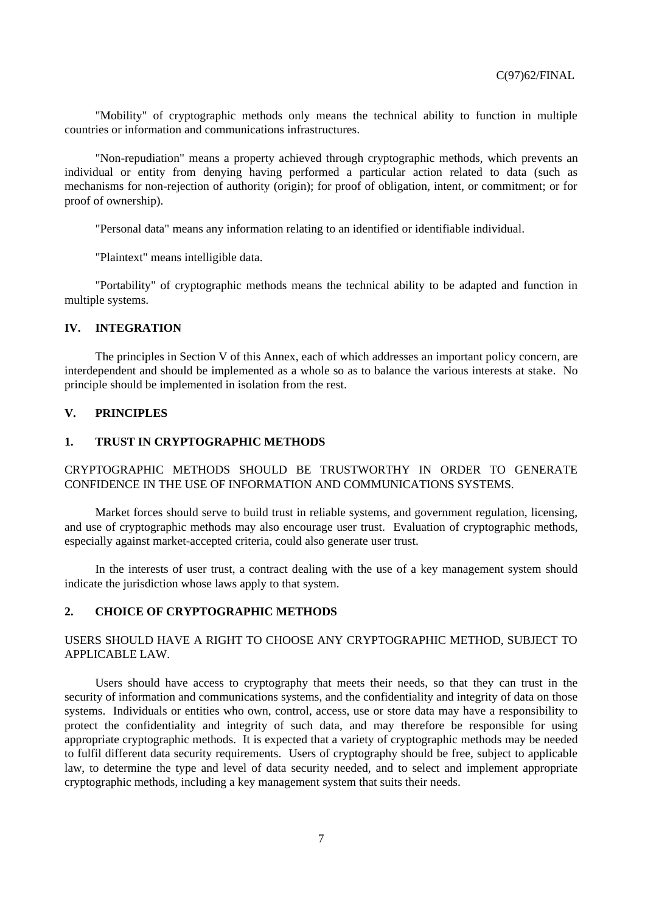"Mobility" of cryptographic methods only means the technical ability to function in multiple countries or information and communications infrastructures.

"Non-repudiation" means a property achieved through cryptographic methods, which prevents an individual or entity from denying having performed a particular action related to data (such as mechanisms for non-rejection of authority (origin); for proof of obligation, intent, or commitment; or for proof of ownership).

"Personal data" means any information relating to an identified or identifiable individual.

"Plaintext" means intelligible data.

"Portability" of cryptographic methods means the technical ability to be adapted and function in multiple systems.

#### **IV. INTEGRATION**

The principles in Section V of this Annex, each of which addresses an important policy concern, are interdependent and should be implemented as a whole so as to balance the various interests at stake. No principle should be implemented in isolation from the rest.

### **V. PRINCIPLES**

#### **1. TRUST IN CRYPTOGRAPHIC METHODS**

## CRYPTOGRAPHIC METHODS SHOULD BE TRUSTWORTHY IN ORDER TO GENERATE CONFIDENCE IN THE USE OF INFORMATION AND COMMUNICATIONS SYSTEMS.

Market forces should serve to build trust in reliable systems, and government regulation, licensing, and use of cryptographic methods may also encourage user trust. Evaluation of cryptographic methods, especially against market-accepted criteria, could also generate user trust.

In the interests of user trust, a contract dealing with the use of a key management system should indicate the jurisdiction whose laws apply to that system.

#### **2. CHOICE OF CRYPTOGRAPHIC METHODS**

## USERS SHOULD HAVE A RIGHT TO CHOOSE ANY CRYPTOGRAPHIC METHOD, SUBJECT TO APPLICABLE LAW.

Users should have access to cryptography that meets their needs, so that they can trust in the security of information and communications systems, and the confidentiality and integrity of data on those systems. Individuals or entities who own, control, access, use or store data may have a responsibility to protect the confidentiality and integrity of such data, and may therefore be responsible for using appropriate cryptographic methods. It is expected that a variety of cryptographic methods may be needed to fulfil different data security requirements. Users of cryptography should be free, subject to applicable law, to determine the type and level of data security needed, and to select and implement appropriate cryptographic methods, including a key management system that suits their needs.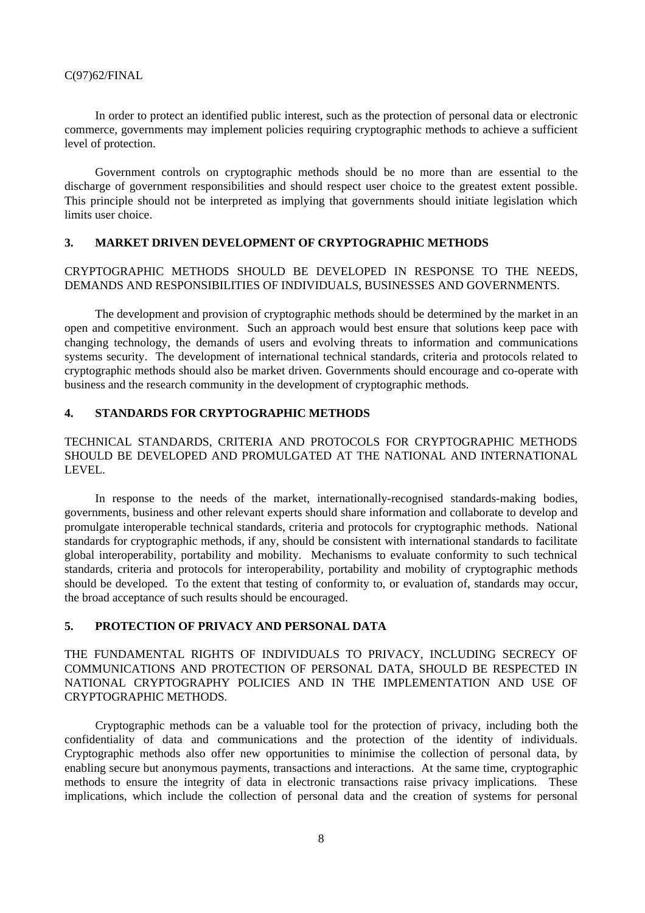In order to protect an identified public interest, such as the protection of personal data or electronic commerce, governments may implement policies requiring cryptographic methods to achieve a sufficient level of protection.

Government controls on cryptographic methods should be no more than are essential to the discharge of government responsibilities and should respect user choice to the greatest extent possible. This principle should not be interpreted as implying that governments should initiate legislation which limits user choice.

## **3. MARKET DRIVEN DEVELOPMENT OF CRYPTOGRAPHIC METHODS**

## CRYPTOGRAPHIC METHODS SHOULD BE DEVELOPED IN RESPONSE TO THE NEEDS, DEMANDS AND RESPONSIBILITIES OF INDIVIDUALS, BUSINESSES AND GOVERNMENTS.

The development and provision of cryptographic methods should be determined by the market in an open and competitive environment. Such an approach would best ensure that solutions keep pace with changing technology, the demands of users and evolving threats to information and communications systems security. The development of international technical standards, criteria and protocols related to cryptographic methods should also be market driven. Governments should encourage and co-operate with business and the research community in the development of cryptographic methods.

## **4. STANDARDS FOR CRYPTOGRAPHIC METHODS**

## TECHNICAL STANDARDS, CRITERIA AND PROTOCOLS FOR CRYPTOGRAPHIC METHODS SHOULD BE DEVELOPED AND PROMULGATED AT THE NATIONAL AND INTERNATIONAL LEVEL.

In response to the needs of the market, internationally-recognised standards-making bodies, governments, business and other relevant experts should share information and collaborate to develop and promulgate interoperable technical standards, criteria and protocols for cryptographic methods. National standards for cryptographic methods, if any, should be consistent with international standards to facilitate global interoperability, portability and mobility. Mechanisms to evaluate conformity to such technical standards, criteria and protocols for interoperability*,* portability and mobility of cryptographic methods should be developed. To the extent that testing of conformity to, or evaluation of, standards may occur, the broad acceptance of such results should be encouraged.

## **5. PROTECTION OF PRIVACY AND PERSONAL DATA**

## THE FUNDAMENTAL RIGHTS OF INDIVIDUALS TO PRIVACY, INCLUDING SECRECY OF COMMUNICATIONS AND PROTECTION OF PERSONAL DATA, SHOULD BE RESPECTED IN NATIONAL CRYPTOGRAPHY POLICIES AND IN THE IMPLEMENTATION AND USE OF CRYPTOGRAPHIC METHODS*.*

Cryptographic methods can be a valuable tool for the protection of privacy, including both the confidentiality of data and communications and the protection of the identity of individuals. Cryptographic methods also offer new opportunities to minimise the collection of personal data, by enabling secure but anonymous payments, transactions and interactions. At the same time, cryptographic methods to ensure the integrity of data in electronic transactions raise privacy implications. These implications, which include the collection of personal data and the creation of systems for personal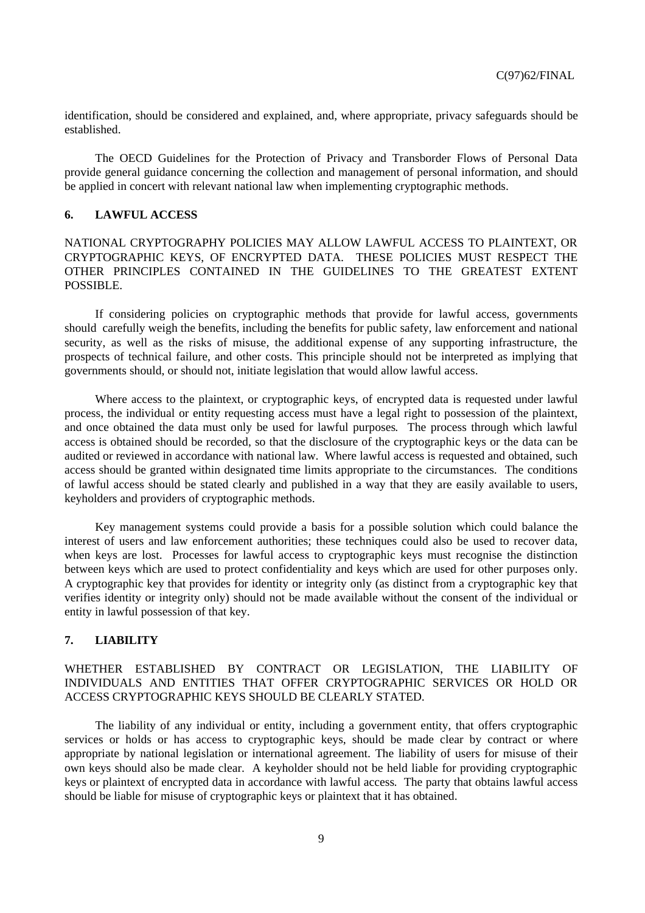identification, should be considered and explained, and, where appropriate, privacy safeguards should be established.

The OECD Guidelines for the Protection of Privacy and Transborder Flows of Personal Data provide general guidance concerning the collection and management of personal information, and should be applied in concert with relevant national law when implementing cryptographic methods.

### **6. LAWFUL ACCESS**

NATIONAL CRYPTOGRAPHY POLICIES MAY ALLOW LAWFUL ACCESS TO PLAINTEXT, OR CRYPTOGRAPHIC KEYS, OF ENCRYPTED DATA. THESE POLICIES MUST RESPECT THE OTHER PRINCIPLES CONTAINED IN THE GUIDELINES TO THE GREATEST EXTENT POSSIBLE.

If considering policies on cryptographic methods that provide for lawful access, governments should carefully weigh the benefits, including the benefits for public safety, law enforcement and national security, as well as the risks of misuse, the additional expense of any supporting infrastructure, the prospects of technical failure, and other costs. This principle should not be interpreted as implying that governments should, or should not, initiate legislation that would allow lawful access.

Where access to the plaintext, or cryptographic keys, of encrypted data is requested under lawful process, the individual or entity requesting access must have a legal right to possession of the plaintext, and once obtained the data must only be used for lawful purposes*.* The process through which lawful access is obtained should be recorded, so that the disclosure of the cryptographic keys or the data can be audited or reviewed in accordance with national law. Where lawful access is requested and obtained*,* such access should be granted within designated time limits appropriate to the circumstances. The conditions of lawful access should be stated clearly and published in a way that they are easily available to users, keyholders and providers of cryptographic methods.

Key management systems could provide a basis for a possible solution which could balance the interest of users and law enforcement authorities; these techniques could also be used to recover data, when keys are lost. Processes for lawful access to cryptographic keys must recognise the distinction between keys which are used to protect confidentiality and keys which are used for other purposes only. A cryptographic key that provides for identity or integrity only (as distinct from a cryptographic key that verifies identity or integrity only) should not be made available without the consent of the individual or entity in lawful possession of that key.

## **7. LIABILITY**

## WHETHER ESTABLISHED BY CONTRACT OR LEGISLATION, THE LIABILITY OF INDIVIDUALS AND ENTITIES THAT OFFER CRYPTOGRAPHIC SERVICES OR HOLD OR ACCESS CRYPTOGRAPHIC KEYS SHOULD BE CLEARLY STATED*.*

The liability of any individual or entity, including a government entity, that offers cryptographic services or holds or has access to cryptographic keys, should be made clear by contract or where appropriate by national legislation or international agreement. The liability of users for misuse of their own keys should also be made clear. A keyholder should not be held liable for providing cryptographic keys or plaintext of encrypted data in accordance with lawful access*.* The party that obtains lawful access should be liable for misuse of cryptographic keys or plaintext that it has obtained.